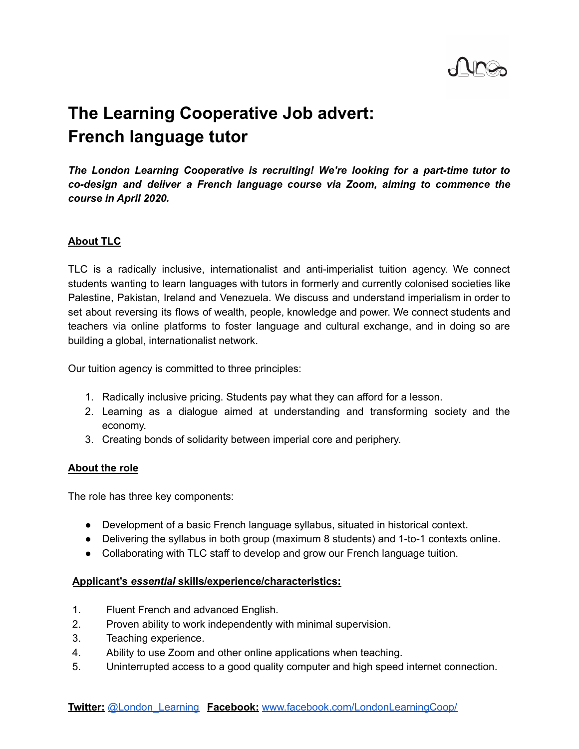

# **The Learning Cooperative Job advert: French language tutor**

*The London Learning Cooperative is recruiting! We're looking for a part-time tutor to co-design and deliver a French language course via Zoom, aiming to commence the course in April 2020.*

## **About TLC**

TLC is a radically inclusive, internationalist and anti-imperialist tuition agency. We connect students wanting to learn languages with tutors in formerly and currently colonised societies like Palestine, Pakistan, Ireland and Venezuela. We discuss and understand imperialism in order to set about reversing its flows of wealth, people, knowledge and power. We connect students and teachers via online platforms to foster language and cultural exchange, and in doing so are building a global, internationalist network.

Our tuition agency is committed to three principles:

- 1. Radically inclusive pricing. Students pay what they can afford for a lesson.
- 2. Learning as a dialogue aimed at understanding and transforming society and the economy.
- 3. Creating bonds of solidarity between imperial core and periphery.

#### **About the role**

The role has three key components:

- Development of a basic French language syllabus, situated in historical context.
- Delivering the syllabus in both group (maximum 8 students) and 1-to-1 contexts online.
- Collaborating with TLC staff to develop and grow our French language tuition.

## **Applicant's** *essential* **skills/experience/characteristics:**

- 1. Fluent French and advanced English.
- 2. Proven ability to work independently with minimal supervision.
- 3. Teaching experience.
- 4. Ability to use Zoom and other online applications when teaching.
- 5. Uninterrupted access to a good quality computer and high speed internet connection.